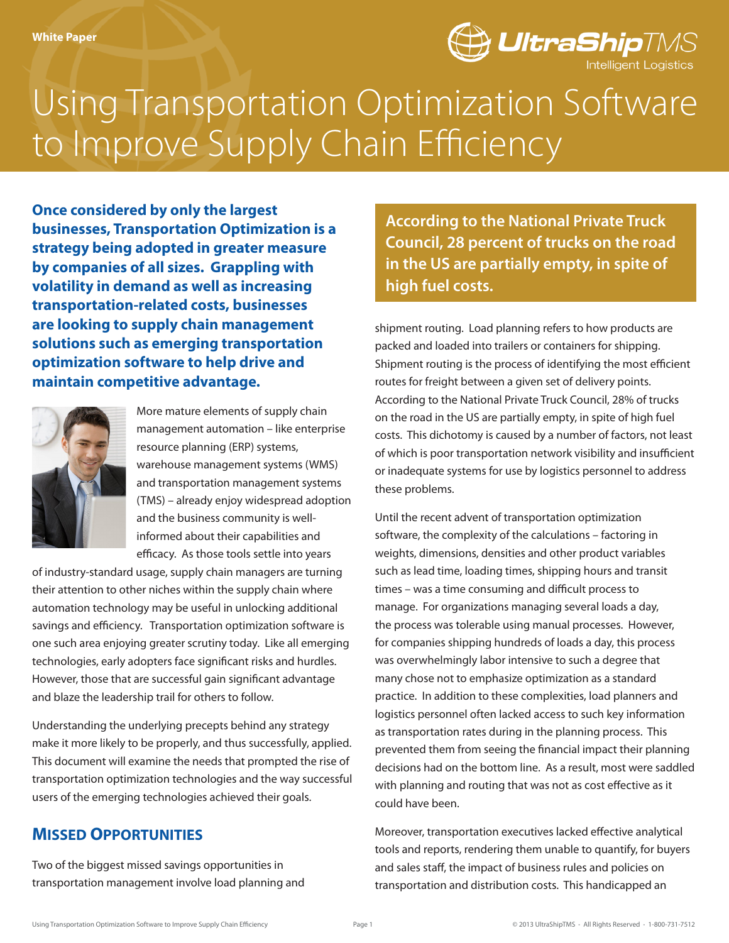

# Using Transportation Optimization Software to Improve Supply Chain Efficiency

**Once considered by only the largest businesses, Transportation Optimization is a strategy being adopted in greater measure by companies of all sizes. Grappling with volatility in demand as well as increasing transportation-related costs, businesses are looking to supply chain management solutions such as emerging transportation optimization software to help drive and maintain competitive advantage.** 



More mature elements of supply chain management automation – like enterprise resource planning (ERP) systems, warehouse management systems (WMS) and transportation management systems (TMS) – already enjoy widespread adoption and the business community is wellinformed about their capabilities and efficacy. As those tools settle into years

of industry-standard usage, supply chain managers are turning their attention to other niches within the supply chain where automation technology may be useful in unlocking additional savings and efficiency. Transportation optimization software is one such area enjoying greater scrutiny today. Like all emerging technologies, early adopters face significant risks and hurdles. However, those that are successful gain significant advantage and blaze the leadership trail for others to follow.

Understanding the underlying precepts behind any strategy make it more likely to be properly, and thus successfully, applied. This document will examine the needs that prompted the rise of transportation optimization technologies and the way successful users of the emerging technologies achieved their goals.

# **Missed Opportunities**

Two of the biggest missed savings opportunities in transportation management involve load planning and

**According to the National Private Truck Council, 28 percent of trucks on the road in the US are partially empty, in spite of high fuel costs.** 

shipment routing. Load planning refers to how products are packed and loaded into trailers or containers for shipping. Shipment routing is the process of identifying the most efficient routes for freight between a given set of delivery points. According to the National Private Truck Council, 28% of trucks on the road in the US are partially empty, in spite of high fuel costs. This dichotomy is caused by a number of factors, not least of which is poor transportation network visibility and insufficient or inadequate systems for use by logistics personnel to address these problems.

Until the recent advent of transportation optimization software, the complexity of the calculations – factoring in weights, dimensions, densities and other product variables such as lead time, loading times, shipping hours and transit times – was a time consuming and difficult process to manage. For organizations managing several loads a day, the process was tolerable using manual processes. However, for companies shipping hundreds of loads a day, this process was overwhelmingly labor intensive to such a degree that many chose not to emphasize optimization as a standard practice. In addition to these complexities, load planners and logistics personnel often lacked access to such key information as transportation rates during in the planning process. This prevented them from seeing the financial impact their planning decisions had on the bottom line. As a result, most were saddled with planning and routing that was not as cost effective as it could have been.

Moreover, transportation executives lacked effective analytical tools and reports, rendering them unable to quantify, for buyers and sales staff, the impact of business rules and policies on transportation and distribution costs. This handicapped an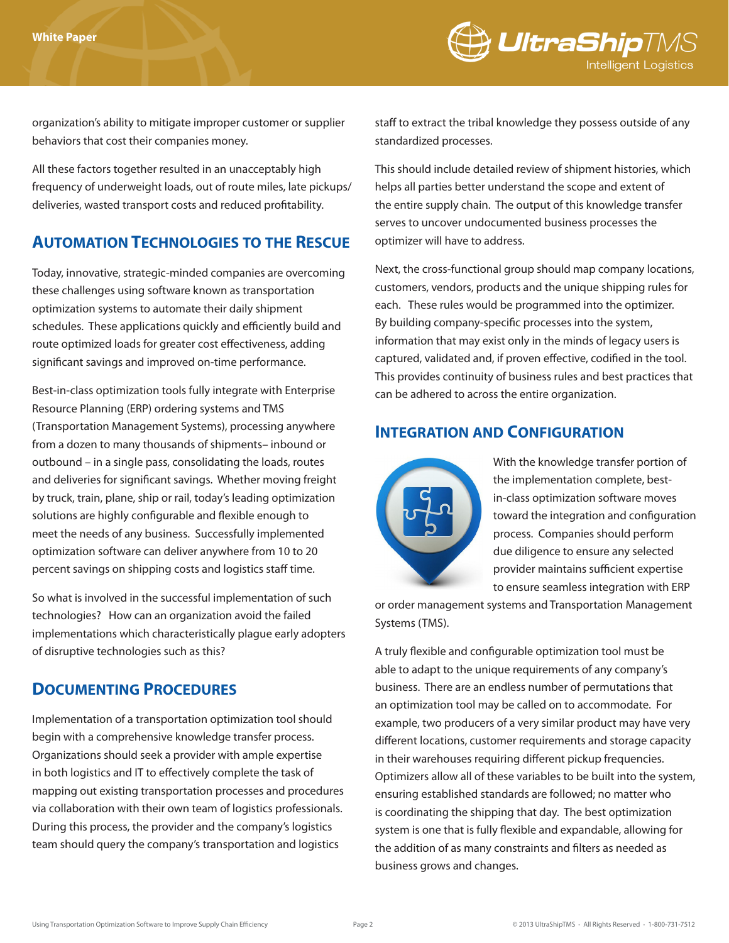

organization's ability to mitigate improper customer or supplier behaviors that cost their companies money.

All these factors together resulted in an unacceptably high frequency of underweight loads, out of route miles, late pickups/ deliveries, wasted transport costs and reduced profitability.

# **Automation Technologies to the Rescue**

Today, innovative, strategic-minded companies are overcoming these challenges using software known as transportation optimization systems to automate their daily shipment schedules. These applications quickly and efficiently build and route optimized loads for greater cost effectiveness, adding significant savings and improved on-time performance.

Best-in-class optimization tools fully integrate with Enterprise Resource Planning (ERP) ordering systems and TMS (Transportation Management Systems), processing anywhere from a dozen to many thousands of shipments– inbound or outbound – in a single pass, consolidating the loads, routes and deliveries for significant savings. Whether moving freight by truck, train, plane, ship or rail, today's leading optimization solutions are highly configurable and flexible enough to meet the needs of any business. Successfully implemented optimization software can deliver anywhere from 10 to 20 percent savings on shipping costs and logistics staff time.

So what is involved in the successful implementation of such technologies? How can an organization avoid the failed implementations which characteristically plague early adopters of disruptive technologies such as this?

#### **Documenting Procedures**

Implementation of a transportation optimization tool should begin with a comprehensive knowledge transfer process. Organizations should seek a provider with ample expertise in both logistics and IT to effectively complete the task of mapping out existing transportation processes and procedures via collaboration with their own team of logistics professionals. During this process, the provider and the company's logistics team should query the company's transportation and logistics

staff to extract the tribal knowledge they possess outside of any standardized processes.

This should include detailed review of shipment histories, which helps all parties better understand the scope and extent of the entire supply chain. The output of this knowledge transfer serves to uncover undocumented business processes the optimizer will have to address.

Next, the cross-functional group should map company locations, customers, vendors, products and the unique shipping rules for each. These rules would be programmed into the optimizer. By building company-specific processes into the system, information that may exist only in the minds of legacy users is captured, validated and, if proven effective, codified in the tool. This provides continuity of business rules and best practices that can be adhered to across the entire organization.

# **Integration and Configuration**



With the knowledge transfer portion of the implementation complete, bestin-class optimization software moves toward the integration and configuration process. Companies should perform due diligence to ensure any selected provider maintains sufficient expertise to ensure seamless integration with ERP

or order management systems and Transportation Management Systems (TMS).

A truly flexible and configurable optimization tool must be able to adapt to the unique requirements of any company's business. There are an endless number of permutations that an optimization tool may be called on to accommodate. For example, two producers of a very similar product may have very different locations, customer requirements and storage capacity in their warehouses requiring different pickup frequencies. Optimizers allow all of these variables to be built into the system, ensuring established standards are followed; no matter who is coordinating the shipping that day. The best optimization system is one that is fully flexible and expandable, allowing for the addition of as many constraints and filters as needed as business grows and changes.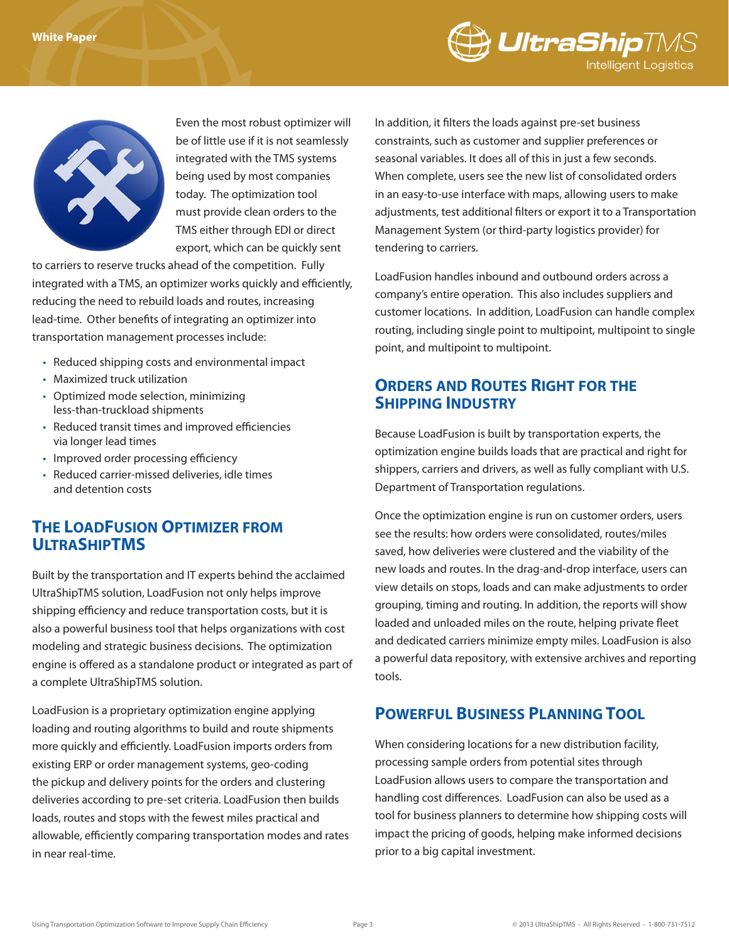



Even the most robust optimizer will be of little use if it is not seamlessly integrated with the TMS systems being used by most companies today. The optimization tool must provide clean orders to the TMS either through EDI or direct export, which can be quickly sent

to carriers to reserve trucks ahead of the competition. Fully integrated with a TMS, an optimizer works quickly and efficiently, reducing the need to rebuild loads and routes, increasing lead-time. Other benefits of integrating an optimizer into transportation management processes include:

- Reduced shipping costs and environmental impact
- Maximized truck utilization
- • Optimized mode selection, minimizing less-than-truckload shipments
- Reduced transit times and improved efficiencies via longer lead times
- Improved order processing efficiency
- Reduced carrier-missed deliveries, idle times and detention costs

# **The LoadFusion Optimizer from UltraShipTMS**

Built by the transportation and IT experts behind the acclaimed UltraShipTMS solution, LoadFusion not only helps improve shipping efficiency and reduce transportation costs, but it is also a powerful business tool that helps organizations with cost modeling and strategic business decisions. The optimization engine is offered as a standalone product or integrated as part of a complete UltraShipTMS solution.

LoadFusion is a proprietary optimization engine applying loading and routing algorithms to build and route shipments more quickly and efficiently. LoadFusion imports orders from existing ERP or order management systems, geo-coding the pickup and delivery points for the orders and clustering deliveries according to pre-set criteria. LoadFusion then builds loads, routes and stops with the fewest miles practical and allowable, efficiently comparing transportation modes and rates in near real-time.

In addition, it filters the loads against pre-set business constraints, such as customer and supplier preferences or seasonal variables. It does all of this in just a few seconds. When complete, users see the new list of consolidated orders in an easy-to-use interface with maps, allowing users to make adjustments, test additional filters or export it to a Transportation Management System (or third-party logistics provider) for tendering to carriers.

LoadFusion handles inbound and outbound orders across a company's entire operation. This also includes suppliers and customer locations. In addition, LoadFusion can handle complex routing, including single point to multipoint, multipoint to single point, and multipoint to multipoint.

# **Orders and Routes Right for the Shipping Industry**

Because LoadFusion is built by transportation experts, the optimization engine builds loads that are practical and right for shippers, carriers and drivers, as well as fully compliant with U.S. Department of Transportation regulations.

Once the optimization engine is run on customer orders, users see the results: how orders were consolidated, routes/miles saved, how deliveries were clustered and the viability of the new loads and routes. In the drag-and-drop interface, users can view details on stops, loads and can make adjustments to order grouping, timing and routing. In addition, the reports will show loaded and unloaded miles on the route, helping private fleet and dedicated carriers minimize empty miles. LoadFusion is also a powerful data repository, with extensive archives and reporting tools.

# **Powerful Business Planning Tool**

When considering locations for a new distribution facility, processing sample orders from potential sites through LoadFusion allows users to compare the transportation and handling cost differences. LoadFusion can also be used as a tool for business planners to determine how shipping costs will impact the pricing of goods, helping make informed decisions prior to a big capital investment.